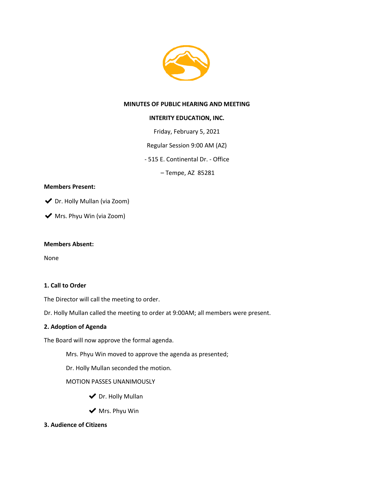

### **MINUTES OF PUBLIC HEARING AND MEETING**

### **INTERITY EDUCATION, INC.**

Friday, February 5, 2021

Regular Session 9:00 AM (AZ)

- 515 E. Continental Dr. - Office

– Tempe, AZ 85281

### **Members Present:**

◆ Dr. Holly Mullan (via Zoom)

◆ Mrs. Phyu Win (via Zoom)

#### **Members Absent:**

None

### **1. Call to Order**

The Director will call the meeting to order.

Dr. Holly Mullan called the meeting to order at 9:00AM; all members were present.

### **2. Adoption of Agenda**

The Board will now approve the formal agenda.

Mrs. Phyu Win moved to approve the agenda as presented;

Dr. Holly Mullan seconded the motion.

### MOTION PASSES UNANIMOUSLY

- ◆ Dr. Holly Mullan
- ◆ Mrs. Phyu Win
- **3. Audience of Citizens**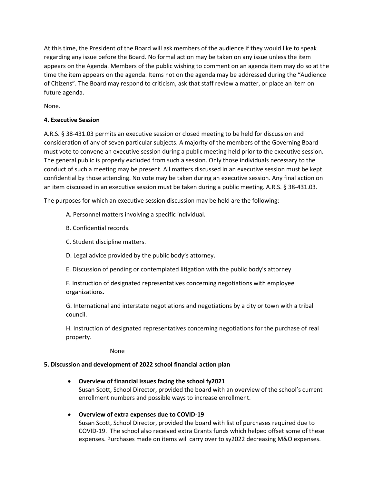At this time, the President of the Board will ask members of the audience if they would like to speak regarding any issue before the Board. No formal action may be taken on any issue unless the item appears on the Agenda. Members of the public wishing to comment on an agenda item may do so at the time the item appears on the agenda. Items not on the agenda may be addressed during the "Audience of Citizens". The Board may respond to criticism, ask that staff review a matter, or place an item on future agenda.

None.

## **4. Executive Session**

A.R.S. § 38-431.03 permits an executive session or closed meeting to be held for discussion and consideration of any of seven particular subjects. A majority of the members of the Governing Board must vote to convene an executive session during a public meeting held prior to the executive session. The general public is properly excluded from such a session. Only those individuals necessary to the conduct of such a meeting may be present. All matters discussed in an executive session must be kept confidential by those attending. No vote may be taken during an executive session. Any final action on an item discussed in an executive session must be taken during a public meeting. A.R.S. § 38-431.03.

The purposes for which an executive session discussion may be held are the following:

- A. Personnel matters involving a specific individual.
- B. Confidential records.
- C. Student discipline matters.
- D. Legal advice provided by the public body's attorney.
- E. Discussion of pending or contemplated litigation with the public body's attorney

F. Instruction of designated representatives concerning negotiations with employee organizations.

G. International and interstate negotiations and negotiations by a city or town with a tribal council.

H. Instruction of designated representatives concerning negotiations for the purchase of real property.

None

# **5. Discussion and development of 2022 school financial action plan**

- **Overview of financial issues facing the school fy2021** Susan Scott, School Director, provided the board with an overview of the school's current enrollment numbers and possible ways to increase enrollment.
- **Overview of extra expenses due to COVID-19** Susan Scott, School Director, provided the board with list of purchases required due to COVID-19. The school also received extra Grants funds which helped offset some of these expenses. Purchases made on items will carry over to sy2022 decreasing M&O expenses.